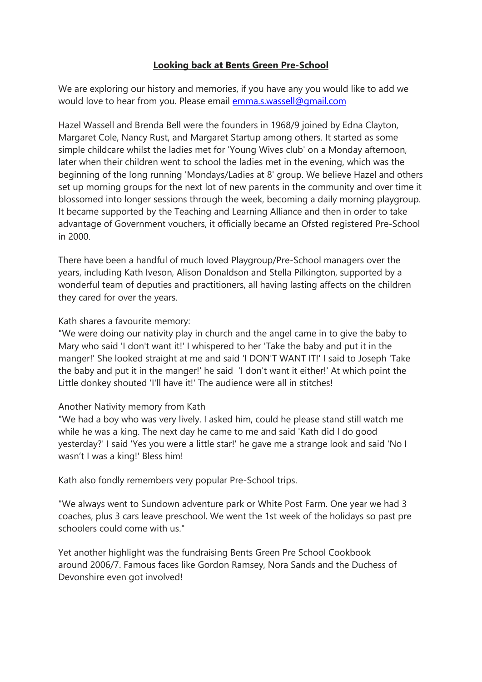### **Looking back at Bents Green Pre-School**

We are exploring our history and memories, if you have any you would like to add we would love to hear from you. Please email [emma.s.wassell@gmail.com](mailto:emma.s.wassell@gmail.com)

Hazel Wassell and Brenda Bell were the founders in 1968/9 joined by Edna Clayton, Margaret Cole, Nancy Rust, and Margaret Startup among others. It started as some simple childcare whilst the ladies met for 'Young Wives club' on a Monday afternoon, later when their children went to school the ladies met in the evening, which was the beginning of the long running 'Mondays/Ladies at 8' group. We believe Hazel and others set up morning groups for the next lot of new parents in the community and over time it blossomed into longer sessions through the week, becoming a daily morning playgroup. It became supported by the Teaching and Learning Alliance and then in order to take advantage of Government vouchers, it officially became an Ofsted registered Pre-School in 2000.

There have been a handful of much loved Playgroup/Pre-School managers over the years, including Kath Iveson, Alison Donaldson and Stella Pilkington, supported by a wonderful team of deputies and practitioners, all having lasting affects on the children they cared for over the years.

### Kath shares a favourite memory:

"We were doing our nativity play in church and the angel came in to give the baby to Mary who said 'I don't want it!' I whispered to her 'Take the baby and put it in the manger!' She looked straight at me and said 'I DON'T WANT IT!' I said to Joseph 'Take the baby and put it in the manger!' he said 'I don't want it either!' At which point the Little donkey shouted 'I'll have it!' The audience were all in stitches!

### Another Nativity memory from Kath

"We had a boy who was very lively. I asked him, could he please stand still watch me while he was a king. The next day he came to me and said 'Kath did I do good yesterday?' I said 'Yes you were a little star!' he gave me a strange look and said 'No I wasn't I was a king!' Bless him!

Kath also fondly remembers very popular Pre-School trips.

"We always went to Sundown adventure park or White Post Farm. One year we had 3 coaches, plus 3 cars leave preschool. We went the 1st week of the holidays so past pre schoolers could come with us."

Yet another highlight was the fundraising Bents Green Pre School Cookbook around 2006/7. Famous faces like Gordon Ramsey, Nora Sands and the Duchess of Devonshire even got involved!